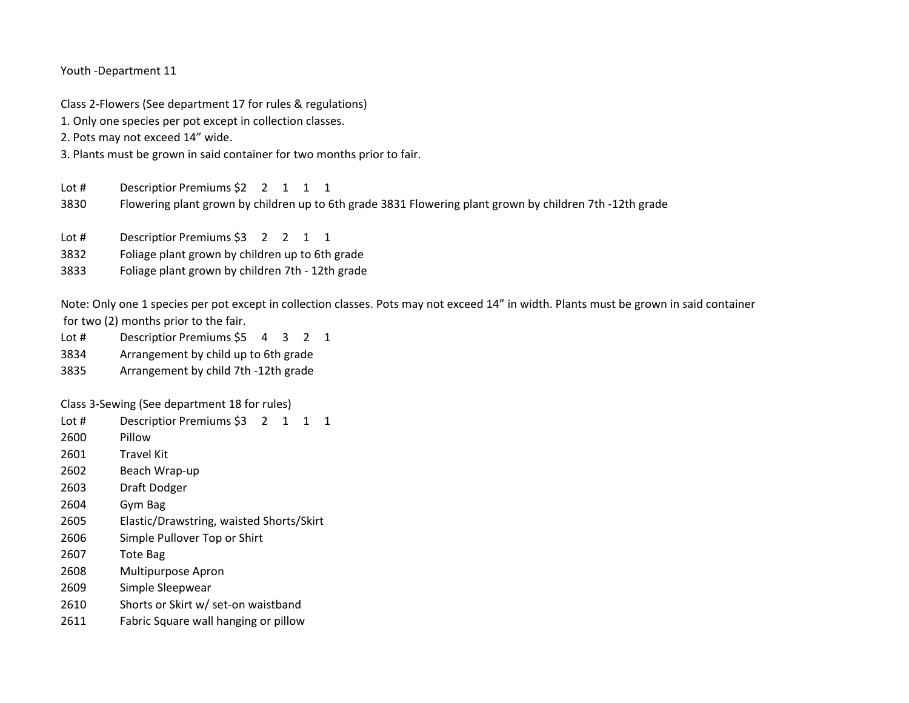Youth -Department 11

Class 2-Flowers (See department 17 for rules & regulations)

1. Only one species per pot except in collection classes.

2. Pots may not exceed 14" wide.

3. Plants must be grown in said container for two months prior to fair.

Lot # Descriptior Premiums \$2 2 1 1 1

3830 Flowering plant grown by children up to 6th grade 3831 Flowering plant grown by children 7th -12th grade

- Lot # Descriptior Premiums \$3 2 2 1 1
- 3832 Foliage plant grown by children up to 6th grade
- 3833 Foliage plant grown by children 7th 12th grade

Note: Only one 1 species per pot except in collection classes. Pots may not exceed 14" in width. Plants must be grown in said container for two (2) months prior to the fair.

- Lot # Descriptior Premiums \$5 4 3 2 1
- 3834 Arrangement by child up to 6th grade
- 3835 Arrangement by child 7th -12th grade

Class 3-Sewing (See department 18 for rules)

- Lot # Descriptior Premiums \$3 2 1 1 1
- 2600 Pillow
- 2601 Travel Kit
- 2602 Beach Wrap-up
- 2603 Draft Dodger
- 2604 Gym Bag
- 2605 Elastic/Drawstring, waisted Shorts/Skirt
- 2606 Simple Pullover Top or Shirt
- 2607 Tote Bag
- 2608 Multipurpose Apron
- 2609 Simple Sleepwear
- 2610 Shorts or Skirt w/ set-on waistband
- 2611 Fabric Square wall hanging or pillow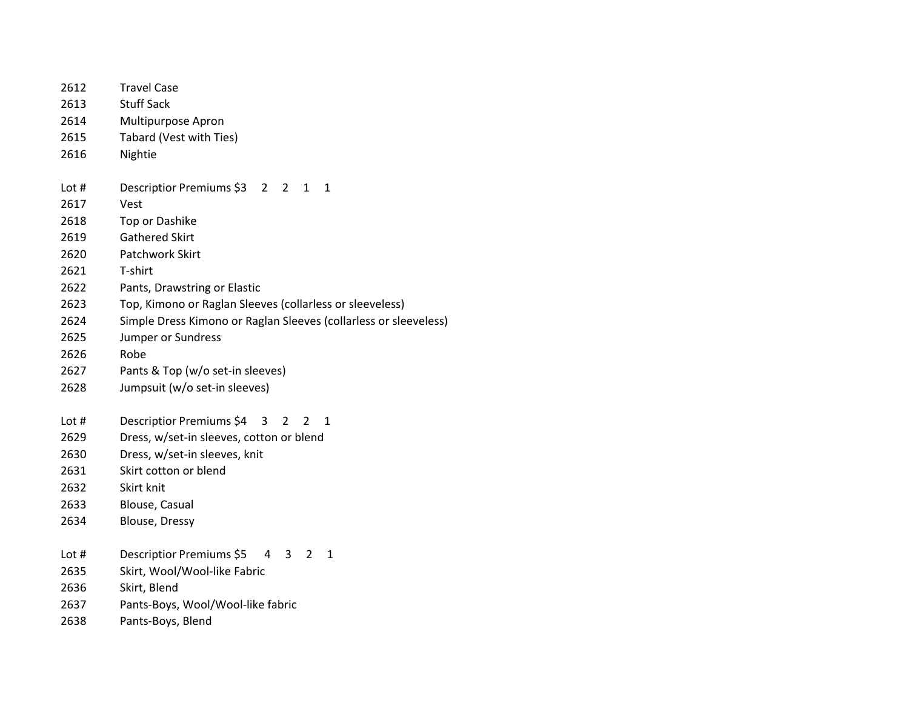| 2612  | <b>Travel Case</b>                                                |
|-------|-------------------------------------------------------------------|
| 2613  | <b>Stuff Sack</b>                                                 |
| 2614  | Multipurpose Apron                                                |
| 2615  | Tabard (Vest with Ties)                                           |
| 2616  | Nightie                                                           |
| Lot # | Descriptior Premiums \$3 2<br>$\overline{2}$<br>$\mathbf{1}$<br>1 |
| 2617  | Vest                                                              |
| 2618  | Top or Dashike                                                    |
| 2619  | Gathered Skirt                                                    |
| 2620  | Patchwork Skirt                                                   |
| 2621  | T-shirt                                                           |
| 2622  | Pants, Drawstring or Elastic                                      |
| 2623  | Top, Kimono or Raglan Sleeves (collarless or sleeveless)          |
| 2624  | Simple Dress Kimono or Raglan Sleeves (collarless or sleeveless)  |
| 2625  | Jumper or Sundress                                                |
| 2626  | Robe                                                              |
| 2627  | Pants & Top (w/o set-in sleeves)                                  |
| 2628  | Jumpsuit (w/o set-in sleeves)                                     |
| Lot # | Descriptior Premiums \$4<br>1<br>3<br>2<br>2                      |
| 2629  | Dress, w/set-in sleeves, cotton or blend                          |
| 2630  | Dress, w/set-in sleeves, knit                                     |
| 2631  | Skirt cotton or blend                                             |
| 2632  | Skirt knit                                                        |
| 2633  | Blouse, Casual                                                    |
| 2634  | <b>Blouse, Dressy</b>                                             |
| Lot # | Descriptior Premiums \$5<br>4<br>3<br>2<br>1                      |
| 2635  | Skirt, Wool/Wool-like Fabric                                      |
| 2636  | Skirt, Blend                                                      |
| 2637  | Pants-Boys, Wool/Wool-like fabric                                 |
| 2638  | Pants-Boys, Blend                                                 |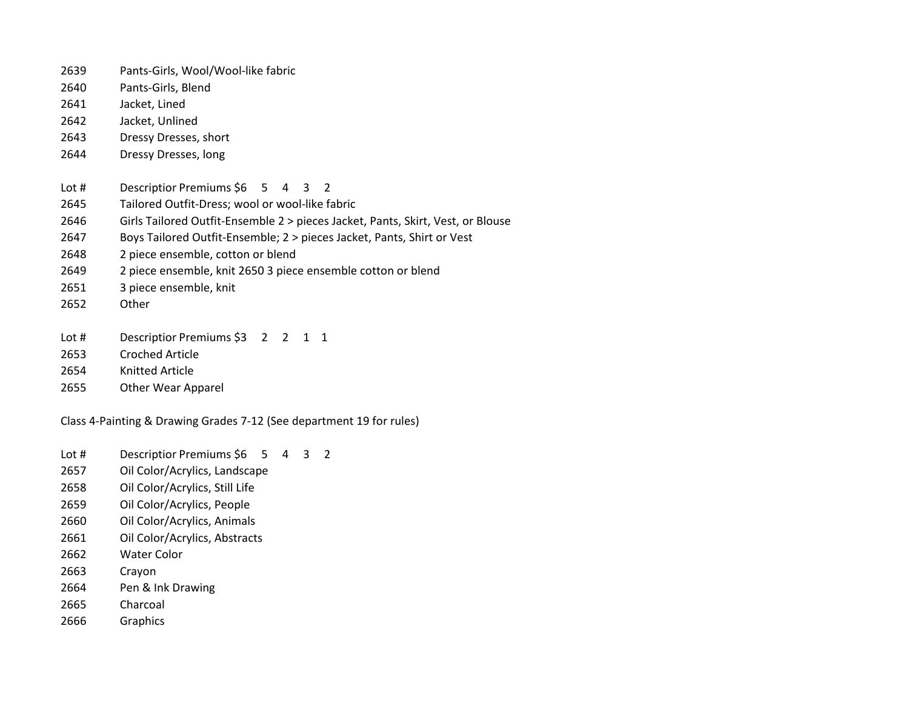- Pants-Girls, Wool/Wool-like fabric
- Pants-Girls, Blend
- Jacket, Lined
- Jacket, Unlined
- Dressy Dresses, short
- Dressy Dresses, long
- Lot # Descriptior Premiums \$6 5 4 3 2
- Tailored Outfit-Dress; wool or wool-like fabric
- Girls Tailored Outfit-Ensemble 2 > pieces Jacket, Pants, Skirt, Vest, or Blouse
- Boys Tailored Outfit-Ensemble; 2 > pieces Jacket, Pants, Shirt or Vest
- 2 piece ensemble, cotton or blend
- 2 piece ensemble, knit 2650 3 piece ensemble cotton or blend
- 3 piece ensemble, knit
- Other
- Lot # Descriptior Premiums \$3 2 2 1 1
- Croched Article
- Knitted Article
- Other Wear Apparel

Class 4-Painting & Drawing Grades 7-12 (See department 19 for rules)

- Lot # Descriptior Premiums \$6 5 4 3 2
- Oil Color/Acrylics, Landscape
- Oil Color/Acrylics, Still Life
- Oil Color/Acrylics, People
- Oil Color/Acrylics, Animals
- Oil Color/Acrylics, Abstracts
- Water Color
- Crayon
- Pen & Ink Drawing
- Charcoal
- Graphics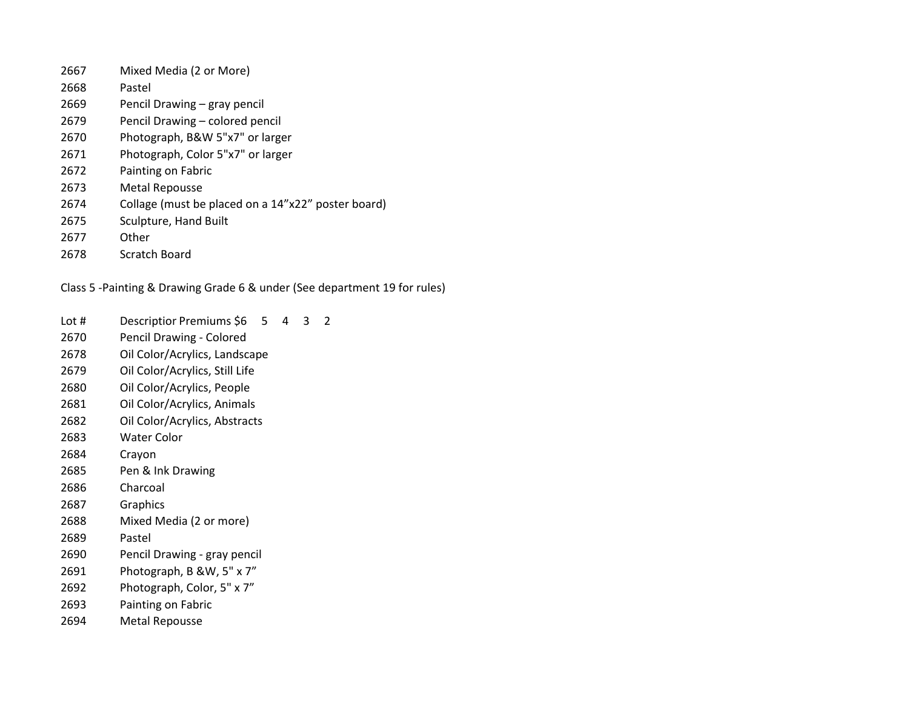- Mixed Media (2 or More) Pastel Pencil Drawing – gray pencil Pencil Drawing – colored pencil Photograph, B&W 5"x7" or larger Photograph, Color 5"x7" or larger Painting on Fabric Metal Repousse Collage (must be placed on a 14"x22" poster board)
- Sculpture, Hand Built
- Other
- Scratch Board

Class 5 -Painting & Drawing Grade 6 & under (See department 19 for rules)

Lot # Descriptior Premiums \$6 5 4 3 2

- Pencil Drawing Colored
- Oil Color/Acrylics, Landscape
- Oil Color/Acrylics, Still Life
- Oil Color/Acrylics, People
- Oil Color/Acrylics, Animals
- Oil Color/Acrylics, Abstracts
- Water Color
- Crayon
- Pen & Ink Drawing
- Charcoal
- Graphics
- Mixed Media (2 or more)
- Pastel
- Pencil Drawing gray pencil
- Photograph, B &W, 5" x 7"
- Photograph, Color, 5" x 7"
- Painting on Fabric
- Metal Repousse